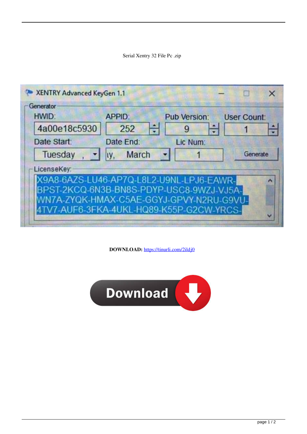

| HWID:        | <b>Pub Version:</b><br><b>APPID:</b>                                                                                             | <b>User Count:</b> |
|--------------|----------------------------------------------------------------------------------------------------------------------------------|--------------------|
| 4a00e18c5930 | ÷<br>252<br>9                                                                                                                    | 1                  |
| Date Start:  | Date End:<br>Lic Num:                                                                                                            |                    |
| Tuesday      | March<br>IV.                                                                                                                     | Generate           |
| LicenseKey:  |                                                                                                                                  |                    |
|              | X9A8-6AZS-LU46-AP7Q-L8L2-U9NL-LPJ6-EAWR-<br>BPST-2KCQ-6N3B-BN8S-PDYP-USC8-9WZJ-VJ5A-<br>WN7A-ZYQK-HMAX-C5AE-GGYJ-GPVY-N2RU-G9VU- |                    |

**DOWNLOAD:** <https://tinurli.com/2ildj0>